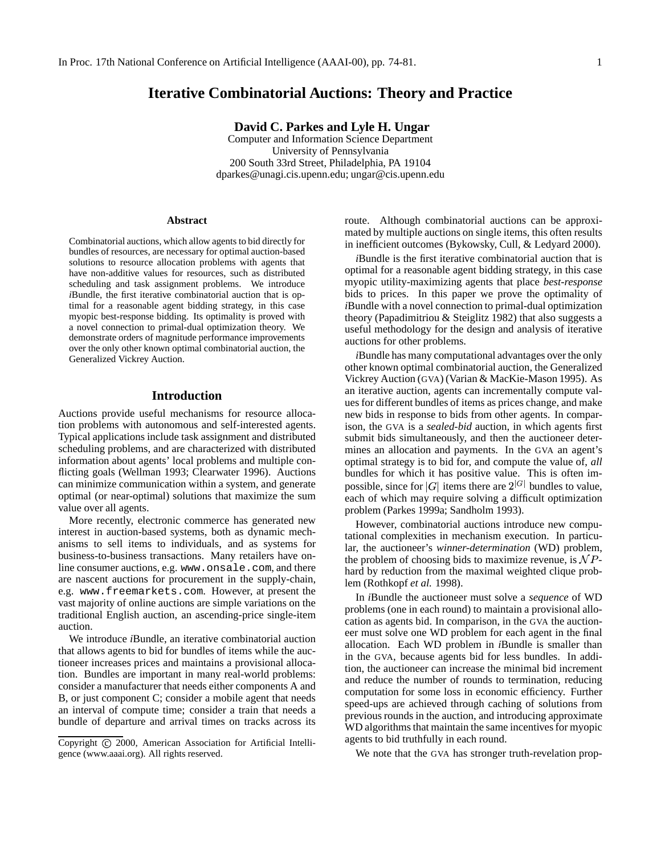# **Iterative Combinatorial Auctions: Theory and Practice**

### **David C. Parkes and Lyle H. Ungar**

Computer and Information Science Department University of Pennsylvania 200 South 33rd Street, Philadelphia, PA 19104 dparkes@unagi.cis.upenn.edu; ungar@cis.upenn.edu

#### **Abstract**

Combinatorial auctions, which allow agents to bid directly for bundles of resources, are necessary for optimal auction-based solutions to resource allocation problems with agents that have non-additive values for resources, such as distributed scheduling and task assignment problems. We introduce *i*Bundle, the first iterative combinatorial auction that is optimal for a reasonable agent bidding strategy, in this case myopic best-response bidding. Its optimality is proved with a novel connection to primal-dual optimization theory. We demonstrate orders of magnitude performance improvements over the only other known optimal combinatorial auction, the Generalized Vickrey Auction.

# **Introduction**

Auctions provide useful mechanisms for resource allocation problems with autonomous and self-interested agents. Typical applications include task assignment and distributed scheduling problems, and are characterized with distributed information about agents' local problems and multiple conflicting goals (Wellman 1993; Clearwater 1996). Auctions can minimize communication within a system, and generate optimal (or near-optimal) solutions that maximize the sum value over all agents.

More recently, electronic commerce has generated new interest in auction-based systems, both as dynamic mechanisms to sell items to individuals, and as systems for business-to-business transactions. Many retailers have online consumer auctions, e.g. www.onsale.com, and there are nascent auctions for procurement in the supply-chain, e.g. www.freemarkets.com. However, at present the vast majority of online auctions are simple variations on the traditional English auction, an ascending-price single-item auction.

We introduce *i*Bundle, an iterative combinatorial auction that allows agents to bid for bundles of items while the auctioneer increases prices and maintains a provisional allocation. Bundles are important in many real-world problems: consider a manufacturer that needs either components A and B, or just component C; consider a mobile agent that needs an interval of compute time; consider a train that needs a bundle of departure and arrival times on tracks across its

route. Although combinatorial auctions can be approximated by multiple auctions on single items, this often results in inefficient outcomes (Bykowsky, Cull, & Ledyard 2000).

*i*Bundle is the first iterative combinatorial auction that is optimal for a reasonable agent bidding strategy, in this case myopic utility-maximizing agents that place *best-response* bids to prices. In this paper we prove the optimality of *i*Bundle with a novel connection to primal-dual optimization theory (Papadimitriou & Steiglitz 1982) that also suggests a useful methodology for the design and analysis of iterative auctions for other problems.

*i*Bundle has many computational advantages over the only other known optimal combinatorial auction, the Generalized Vickrey Auction (GVA) (Varian & MacKie-Mason 1995). As an iterative auction, agents can incrementally compute values for different bundles of items as prices change, and make new bids in response to bids from other agents. In comparison, the GVA is a *sealed-bid* auction, in which agents first submit bids simultaneously, and then the auctioneer determines an allocation and payments. In the GVA an agent's optimal strategy is to bid for, and compute the value of, *all* bundles for which it has positive value. This is often impossible, since for |G| items there are  $2^{|G|}$  bundles to value, each of which may require solving a difficult optimization problem (Parkes 1999a; Sandholm 1993).

However, combinatorial auctions introduce new computational complexities in mechanism execution. In particular, the auctioneer's *winner-determination* (WD) problem, the problem of choosing bids to maximize revenue, is  $\mathcal NP$ hard by reduction from the maximal weighted clique problem (Rothkopf *et al.* 1998).

In *i*Bundle the auctioneer must solve a *sequence* of WD problems (one in each round) to maintain a provisional allocation as agents bid. In comparison, in the GVA the auctioneer must solve one WD problem for each agent in the final allocation. Each WD problem in *i*Bundle is smaller than in the GVA, because agents bid for less bundles. In addition, the auctioneer can increase the minimal bid increment and reduce the number of rounds to termination, reducing computation for some loss in economic efficiency. Further speed-ups are achieved through caching of solutions from previous rounds in the auction, and introducing approximate WD algorithms that maintain the same incentives for myopic agents to bid truthfully in each round.

We note that the GVA has stronger truth-revelation prop-

Copyright © 2000, American Association for Artificial Intelligence (www.aaai.org). All rights reserved.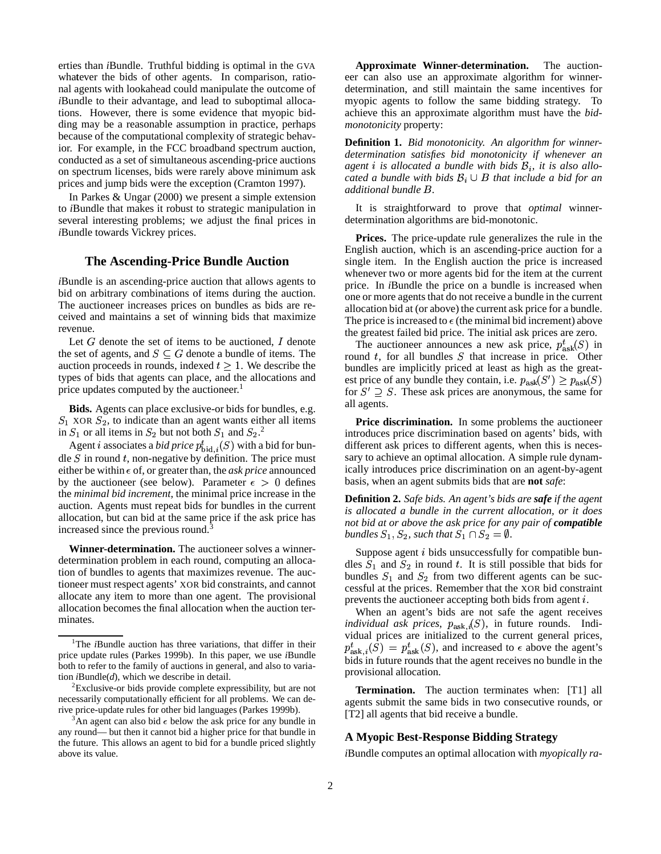erties than *i*Bundle. Truthful bidding is optimal in the GVA whatever the bids of other agents. In comparison, rational agents with lookahead could manipulate the outcome of *i*Bundle to their advantage, and lead to suboptimal allocations. However, there is some evidence that myopic bidding may be a reasonable assumption in practice, perhaps because of the computational complexity of strategic behavior. For example, in the FCC broadband spectrum auction, conducted as a set of simultaneous ascending-price auctions on spectrum licenses, bids were rarely above minimum ask prices and jump bids were the exception (Cramton 1997).

In Parkes & Ungar (2000) we present a simple extension to *i*Bundle that makes it robust to strategic manipulation in several interesting problems; we adjust the final prices in *i*Bundle towards Vickrey prices.

# **The Ascending-Price Bundle Auction**

*i*Bundle is an ascending-price auction that allows agents to bid on arbitrary combinations of items during the auction. The auctioneer increases prices on bundles as bids are received and maintains a set of winning bids that maximize revenue.

Let  $G$  denote the set of items to be auctioned,  $I$  denote the set of agents, and  $S \subseteq G$  denote a bundle of items. The auction proceeds in rounds, indexed  $t > 1$ . We describe the types of bids that agents can place, and the allocations and price updates computed by the auctioneer.<sup>1</sup>

**Bids.** Agents can place exclusive-or bids for bundles, e.g.  $S_1$  XOR  $S_2$ , to indicate than an agent wants either all items in  $S_1$  or all items in  $S_2$  but not both  $S_1$  and  $S_2$ .<sup>2</sup>

Agent *i* associates a *bid price*  $p_{\text{bid.}i}^t(S)$  with a bid for bundle  $S$  in round  $t$ , non-negative by definition. The price must either be within  $\epsilon$  of, or greater than, the *ask price* announced by the auctioneer (see below). Parameter  $\epsilon > 0$  defines the *minimal bid increment*, the minimal price increase in the auction. Agents must repeat bids for bundles in the current allocation, but can bid at the same price if the ask price has increased since the previous round.<sup>3</sup>

**Winner-determination.** The auctioneer solves a winnerdetermination problem in each round, computing an allocation of bundles to agents that maximizes revenue. The auctioneer must respect agents' XOR bid constraints, and cannot allocate any item to more than one agent. The provisional allocation becomes the final allocation when the auction terminates.

**Approximate Winner-determination.** The auctioneer can also use an approximate algorithm for winnerdetermination, and still maintain the same incentives for myopic agents to follow the same bidding strategy. To achieve this an approximate algorithm must have the *bidmonotonicity* property:

**Definition 1.** *Bid monotonicity. An algorithm for winnerdetermination satisfies bid monotonicity if whenever an agent i is allocated a bundle with bids*  $B_i$ *, it is also allocated a bundle with bids*  $B_i \cup B$  *that include a bid for an additional bundle* <sup>2</sup>*.*

It is straightforward to prove that *optimal* winnerdetermination algorithms are bid-monotonic.

**Prices.** The price-update rule generalizes the rule in the English auction, which is an ascending-price auction for a single item. In the English auction the price is increased whenever two or more agents bid for the item at the current price. In *i*Bundle the price on a bundle is increased when one or more agents that do not receive a bundle in the current allocation bid at (or above) the current ask price for a bundle. The price is increased to  $\epsilon$  (the minimal bid increment) above the greatest failed bid price. The initial ask prices are zero.

The auctioneer announces a new ask price,  $p_{ask}^t(S)$  in round  $t$ , for all bundles  $S$  that increase in price. Other bundles are implicitly priced at least as high as the greatest price of any bundle they contain, i.e.  $p_{ask}(S') > p_{ask}(S)$ for  $S' \supseteq S$ . These ask prices are anonymous, the same for all agents.

**Price discrimination.** In some problems the auctioneer introduces price discrimination based on agents' bids, with different ask prices to different agents, when this is necessary to achieve an optimal allocation. A simple rule dynamically introduces price discrimination on an agent-by-agent basis, when an agent submits bids that are **not** *safe*:

**Definition 2.** *Safe bids. An agent's bids are safe if the agent is allocated a bundle in the current allocation, or it does not bid at or above the ask price for any pair of compatible bundles*  $S_1$ ,  $S_2$ , *such that*  $S_1 \cap S_2 = \emptyset$ .

Suppose agent  $i$  bids unsuccessfully for compatible bundles  $S_1$  and  $S_2$  in round t. It is still possible that bids for bundles  $S_1$  and  $S_2$  from two different agents can be successful at the prices. Remember that the XOR bid constraint prevents the auctioneer accepting both bids from agent  $i$ .

When an agent's bids are not safe the agent receives *individual ask prices,*  $p_{ask,i}(S)$ , in future rounds. Individual prices are initialized to the current general prices,  $p_{{\rm ask},i}^t(\bar{S}) = p_{{\rm ask}}^t(S)$ , and increased to  $\epsilon$  above the agent's bids in future rounds that the agent receives no bundle in the provisional allocation.

**Termination.** The auction terminates when: [T1] all agents submit the same bids in two consecutive rounds, or [T2] all agents that bid receive a bundle.

### **A Myopic Best-Response Bidding Strategy**

*i*Bundle computes an optimal allocation with *myopically ra-*

<sup>&</sup>lt;sup>1</sup>The *i*Bundle auction has three variations, that differ in their price update rules (Parkes 1999b). In this paper, we use *i*Bundle both to refer to the family of auctions in general, and also to variation *i*Bundle(*d*), which we describe in detail.

<sup>&</sup>lt;sup>2</sup>Exclusive-or bids provide complete expressibility, but are not necessarily computationally efficient for all problems. We can derive price-update rules for other bid languages (Parkes 1999b).

<sup>&</sup>lt;sup>3</sup>An agent can also bid  $\epsilon$  below the ask price for any bundle in any round— but then it cannot bid a higher price for that bundle in the future. This allows an agent to bid for a bundle priced slightly above its value.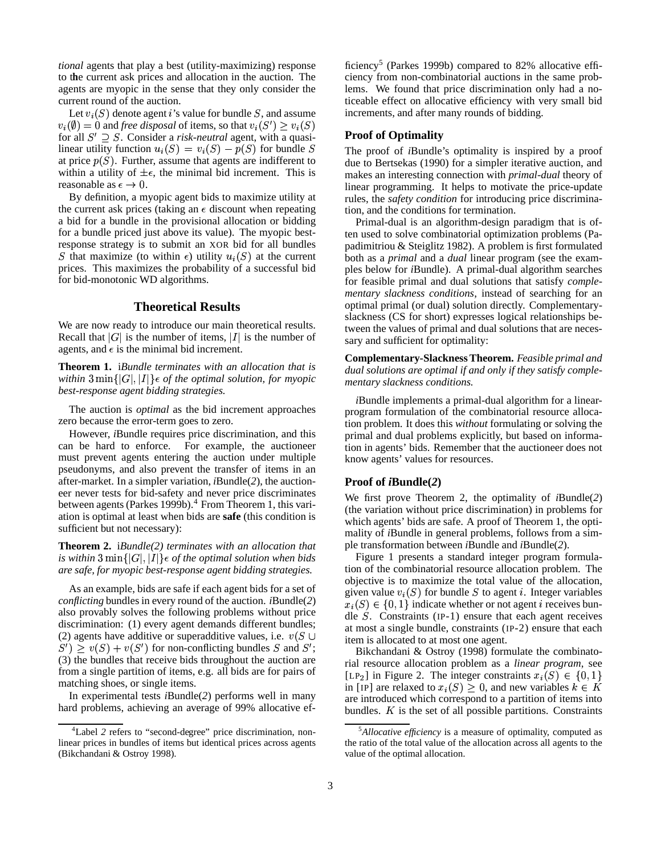*tional* agents that play a best (utility-maximizing) response to the current ask prices and allocation in the auction. The agents are myopic in the sense that they only consider the current round of the auction.

Let  $v_i(S)$  denote agent i's value for bundle S, and assume  $v_i(\emptyset) = 0$  and *free disposal* of items, so that  $v_i(S') > v_i(S)$ for all  $S' \supset S$ . Consider a *risk-neutral* agent, with a quasilinear utility function  $u_i(S) = v_i(S) - p(S)$  for bundle S at price  $p(S)$ . Further, assume that agents are indifferent to within a utility of  $\pm \epsilon$ , the minimal bid increment. This is reasonable as  $\epsilon \to 0$ .

By definition, a myopic agent bids to maximize utility at the current ask prices (taking an  $\epsilon$  discount when repeating a bid for a bundle in the provisional allocation or bidding for a bundle priced just above its value). The myopic bestresponse strategy is to submit an XOR bid for all bundles S that maximize (to within  $\epsilon$ ) utility  $u_i(S)$  at the current prices. This maximizes the probability of a successful bid for bid-monotonic WD algorithms.

# **Theoretical Results**

We are now ready to introduce our main theoretical results. Recall that  $|G|$  is the number of items,  $|I|$  is the number of agents, and  $\epsilon$  is the minimal bid increment.

**Theorem 1.** i*Bundle terminates with an allocation that is within*  $3 \min\{|G|, |I|\} \in \text{of the optimal solution, for myopic}$ *best-response agent bidding strategies.*

The auction is *optimal* as the bid increment approaches zero because the error-term goes to zero.

However, *i*Bundle requires price discrimination, and this can be hard to enforce. For example, the auctioneer must prevent agents entering the auction under multiple pseudonyms, and also prevent the transfer of items in an after-market. In a simpler variation,*i*Bundle(*2*), the auctioneer never tests for bid-safety and never price discriminates between agents (Parkes 1999b).<sup>4</sup> From Theorem 1, this variation is optimal at least when bids are **safe** (this condition is sufficient but not necessary):

**Theorem 2.** i*Bundle(2) terminates with an allocation that is* within  $3 \min\{|G|, |I|\} \in \text{of the optimal solution when bids}$ *are safe, for myopic best-response agent bidding strategies.*

As an example, bids are safe if each agent bids for a set of *conflicting* bundles in every round of the auction. *i*Bundle(*2*) also provably solves the following problems without price discrimination: (1) every agent demands different bundles; (2) agents have additive or superadditive values, i.e.  $v(S \cup$  $S'$  >  $v(S) + v(S')$  for non-conflicting bundles S and S'; (3) the bundles that receive bids throughout the auction are from a single partition of items, e.g. all bids are for pairs of matching shoes, or single items.

In experimental tests *i*Bundle(*2*) performs well in many hard problems, achieving an average of 99% allocative ef-

ficiency<sup>5</sup> (Parkes 1999b) compared to 82% allocative efficiency from non-combinatorial auctions in the same problems. We found that price discrimination only had a noticeable effect on allocative efficiency with very small bid increments, and after many rounds of bidding.

### **Proof of Optimality**

The proof of *i*Bundle's optimality is inspired by a proof due to Bertsekas (1990) for a simpler iterative auction, and makes an interesting connection with *primal-dual* theory of linear programming. It helps to motivate the price-update rules, the *safety condition* for introducing price discrimination, and the conditions for termination.

Primal-dual is an algorithm-design paradigm that is often used to solve combinatorial optimization problems (Papadimitriou & Steiglitz 1982). A problem is first formulated both as a *primal* and a *dual* linear program (see the examples below for *i*Bundle). A primal-dual algorithm searches for feasible primal and dual solutions that satisfy *complementary slackness conditions*, instead of searching for an optimal primal (or dual) solution directly. Complementaryslackness (CS for short) expresses logical relationships between the values of primal and dual solutions that are necessary and sufficient for optimality:

**Complementary-SlacknessTheorem.** *Feasible primal and dual solutions are optimal if and only if they satisfy complementary slackness conditions.*

*i*Bundle implements a primal-dual algorithm for a linearprogram formulation of the combinatorial resource allocation problem. It does this *without* formulating or solving the primal and dual problems explicitly, but based on information in agents' bids. Remember that the auctioneer does not know agents' values for resources.

#### **Proof of** *i***Bundle(***2***)**

We first prove Theorem 2, the optimality of *i*Bundle(*2*) (the variation without price discrimination) in problems for which agents' bids are safe. A proof of Theorem 1, the optimality of *i*Bundle in general problems, follows from a simple transformation between *i*Bundle and *i*Bundle(*2*).

Figure 1 presents a standard integer program formulation of the combinatorial resource allocation problem. The objective is to maximize the total value of the allocation, given value  $v_i(S)$  for bundle S to agent i. Integer variables  $x_i(S) \in \{0, 1\}$  indicate whether or not agent *i* receives bundle  $S$ . Constraints (IP-1) ensure that each agent receives at most a single bundle, constraints (IP-2) ensure that each item is allocated to at most one agent.

Bikchandani & Ostroy (1998) formulate the combinatorial resource allocation problem as a *linear program*, see [LP<sub>2</sub>] in Figure 2. The integer constraints  $x_i(S) \in \{0,1\}$ in [IP] are relaxed to  $x_i(S) \geq 0$ , and new variables  $k \in K$ are introduced which correspond to a partition of items into bundles.  $K$  is the set of all possible partitions. Constraints

<sup>4</sup>Label *2* refers to "second-degree" price discrimination, nonlinear prices in bundles of items but identical prices across agents (Bikchandani & Ostroy 1998).

<sup>5</sup>*Allocative efficiency* is a measure of optimality, computed as the ratio of the total value of the allocation across all agents to the value of the optimal allocation.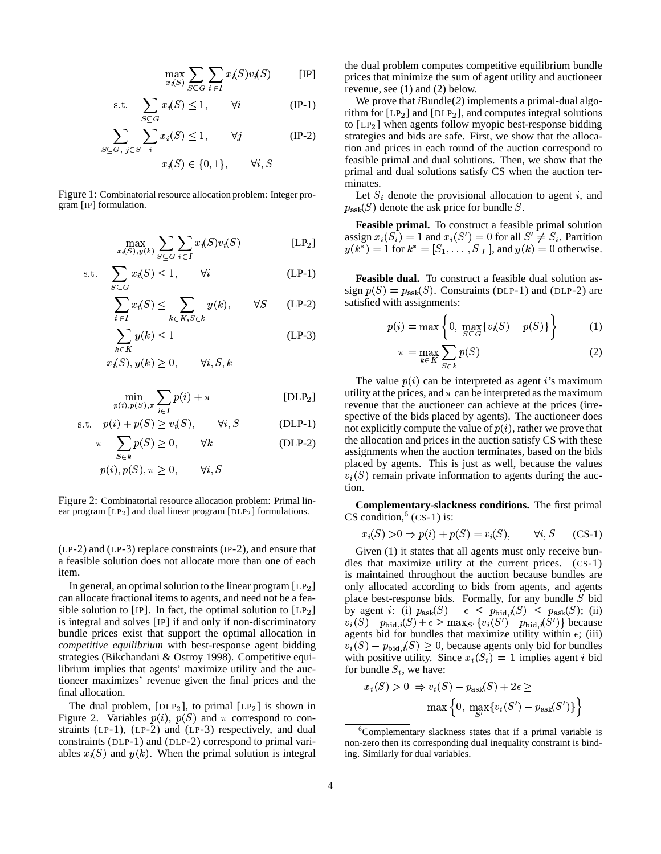$$
\max_{x_i(S)} \sum_{S \subseteq G} \sum_{i \in I} x_i(S) v_i(S) \qquad [IP]
$$

s.t. 
$$
\sum_{S \subseteq G} x_i(S) \le 1, \qquad \forall i \tag{IP-1}
$$

$$
\sum_{S \subseteq G, \ j \in S} \sum_{i} x_i(S) \le 1, \qquad \forall j \tag{IP-2}
$$
\n
$$
x_i(S) \in \{0, 1\} \qquad \forall i \ S
$$

Figure 1: Combinatorial resource allocation problem: Integer program [IP] formulation.

m.

$$
\max_{x_i(S), y(k)} \sum_{S \subseteq G} \sum_{i \in I} x_i(S) v_i(S) \qquad \qquad [\text{LP}_2]
$$

$$
\text{s.t.} \quad \sum_{S \subset G} x_i(S) \le 1, \qquad \forall i \tag{LP-1}
$$

$$
\sum_{i \in I}^{S \subseteq G} x_i(S) \le \sum_{k \in K, S \in k} y(k), \qquad \forall S \qquad \text{(LP-2)}
$$

$$
\sum_{k \in K} y(k) \le 1
$$
\n
$$
y(k) \le 1
$$
\n
$$
y(k) \ge 0 \qquad \forall i \ S \ k
$$
\n
$$
(LP-3)
$$

$$
x_i(S), y(k) \ge 0, \qquad \forall i, S, k
$$

$$
\min_{p(i), p(S), \pi} \sum_{i \in I} p(i) + \pi
$$
 [DLP<sub>2</sub>]  
(i) + n(S) > n(S) (y| S) (DLP<sub>1</sub>)

$$
\text{s.t.} \quad p(i) + p(S) \ge v_i(S), \qquad \forall i, S \qquad \text{(DLP-1)}
$$

$$
\pi - \sum_{S \in k} p(S) \ge 0, \qquad \forall k \tag{DLP-2}
$$
  

$$
p(i) \ p(S) \ \pi > 0 \qquad \forall i \ S
$$

$$
p(i), p(S), \pi \ge 0, \qquad \forall i, S
$$

Figure 2: Combinatorial resource allocation problem: Primal linear program  $[LP_2]$  and dual linear program  $[DLP_2]$  formulations.

(LP-2) and (LP-3) replace constraints (IP-2), and ensure that a feasible solution does not allocate more than one of each item.

In general, an optimal solution to the linear program  $[LP_2]$ can allocate fractional items to agents, and need not be a feasible solution to [IP]. In fact, the optimal solution to  $[LP_2]$ is integral and solves [IP] if and only if non-discriminatory bundle prices exist that support the optimal allocation in *competitive equilibrium* with best-response agent bidding strategies (Bikchandani & Ostroy 1998). Competitive equilibrium implies that agents' maximize utility and the auctioneer maximizes' revenue given the final prices and the final allocation.

The dual problem, [DLP<sub>2</sub>], to primal [LP<sub>2</sub>] is shown in gure 2. Variables  $p(i)$ ,  $p(S)$  and  $\pi$  correspond to con-Figure 2. Variables  $p(i)$ ,  $p(S)$  and  $\pi$  correspond to constraints (LP-1), (LP-2) and (LP-3) respectively, and dual constraints (DLP-1) and (DLP-2) correspond to primal variables  $x_i(S)$  and  $y(k)$ . When the primal solution is integral

the dual problem computes competitive equilibrium bundle prices that minimize the sum of agent utility and auctioneer revenue, see (1) and (2) below.

We prove that *i*Bundle(*2*) implements a primal-dual algorithm for  $[LP_2]$  and  $[DLP_2]$ , and computes integral solutions to  $[LP_2]$  when agents follow myopic best-response bidding strategies and bids are safe. First, we show that the allocation and prices in each round of the auction correspond to feasible primal and dual solutions. Then, we show that the primal and dual solutions satisfy CS when the auction terminates.

minates.<br>Let  $S_i$  denote the provisional allocation to agent *i*, and  $p_{\text{ask}}(S)$  denote the ask price for bundle  $S$ .  $p_{ask}(S)$  denote the ask price for bundle S.

**Feasible primal.** To construct a feasible primal solution **Feasible primal.** To construct a feasible primal solution assign  $x_i(S_i) = 1$  and  $x_i(S') = 0$  for all  $S' \neq S_i$ . Partition ssign  $x_i(S_i) = 1$  and  $x_i(S') = 0$  for all  $S' \neq S_i$ . Partitio  $(k^*) = 1$  for  $k^* = [S_i, S_{i+1}]$  and  $u(k) = 0$  otherwise  $\begin{array}{l} \n\overline{S_i} \\
\overline{S_i} \\
\overline{S_i} \\
\overline{S_i} \\
\overline{S_i} \\
\overline{S_i} \\
\overline{S_i} \\
\overline{S_i} \\
\overline{S_i} \\
\overline{S_i} \\
\overline{S_i} \\
\overline{S_i} \\
\overline{S_i} \\
\overline{S_i} \\
\overline{S_i} \\
\overline{S_i} \\
\overline{S_i} \\
\overline{S_i} \\
\overline{S_i} \\
\overline{S_i} \\
\overline{S_i} \\
\overline{S_i} \\
\overline{S_i} \\
\overline{S_i} \\
\overline{S_i} \\
\overline{S_i} \\
\overline$ 

Feasible dual. To construct a feasible dual solution assign  $p(S) = p_{ask}(S)$ . Constraints (DLP-1) and (DLP-2) are satisfied with assignments:

$$
p(i) = \max \left\{ 0, \, \max_{S \subseteq G} \{ v_i(S) - p(S) \} \right\} \tag{1}
$$

$$
\pi = \max_{k \in K} \sum_{S \in k} p(S) \tag{2}
$$

The value  $p(i)$  can be interpreted as agent *i*'s maximum utility at the prices, and  $\pi$  can be interpreted as the maximum utility at the prices, and  $\pi$  can be interpreted as the maximum revenue that the auctioneer can achieve at the prices (irrespective of the bids placed by agents). The auctioneer does not explicitly compute the value of  $p(i)$ , rather we prove that the allocation and prices in the auction satisfy CS with these assignments when the auction terminates, based on the bids placed by agents. This is just as well, because the values  $v_i(S)$  remain private information to agents during the auction.

**Complementary-slackness conditions.** The first primal CS condition,  $^6$  (CS-1) is:

$$
r_i(S) > 0 \Rightarrow p(i) + p(S) = v_i(S), \qquad \forall i, S \qquad (CS-1)
$$

Given (1) it states that all agents must only receive bundles that maximize utility at the current prices. (CS-1) is maintained throughout the auction because bundles are only allocated according to bids from agents, and agents only allocated according to bids from agents, and agents place best-response bids. Formally, for any bundle *S* bid by agent *i*: (i)  $p_{ask}(S) - \epsilon \leq p_{bid}(S) \leq p_{ask}(S)$ ; (ii) by agent *i*: (i)  $p_{ask}(S) - \epsilon \leq p_{bid,i}(S) \leq p_{ask}(S)$ ; (ii)  $p_{ask}(S) - p_{k+1}(S) + \epsilon > \max_{s \in \{n\}} (s') - p_{k+1}(S')$  because  $v_i(S) - p_{\text{bid},i}(S) + \epsilon \ge \max_{S'} \{v_i(S') - p_{\text{bid},i}(S')\}$  because agents bid for bundles that maximize utility within  $\epsilon$ ; (iii) agents bid for bundles that maximize utility within  $\epsilon$ ; (iii)  $\lambda_i(S) \geq 0$ , because agents only bid for bundles ¡(¢\*£j¿Ó´with positive utility. Since  $x_i(S_i) = 1$  implies agent *i* bid for bundle  $S_i$ , we have: ndle  $S_i$ , we have:

$$
x_i(S) > 0 \Rightarrow v_i(S) - p_{ask}(S) + 2\epsilon \ge
$$
  

$$
\max\left\{0, \max_{S'} \{v_i(S') - p_{ask}(S')\}\right\}
$$

 $6$ Complementary slackness states that if a primal variable is non-zero then its corresponding dual inequality constraint is binding. Similarly for dual variables.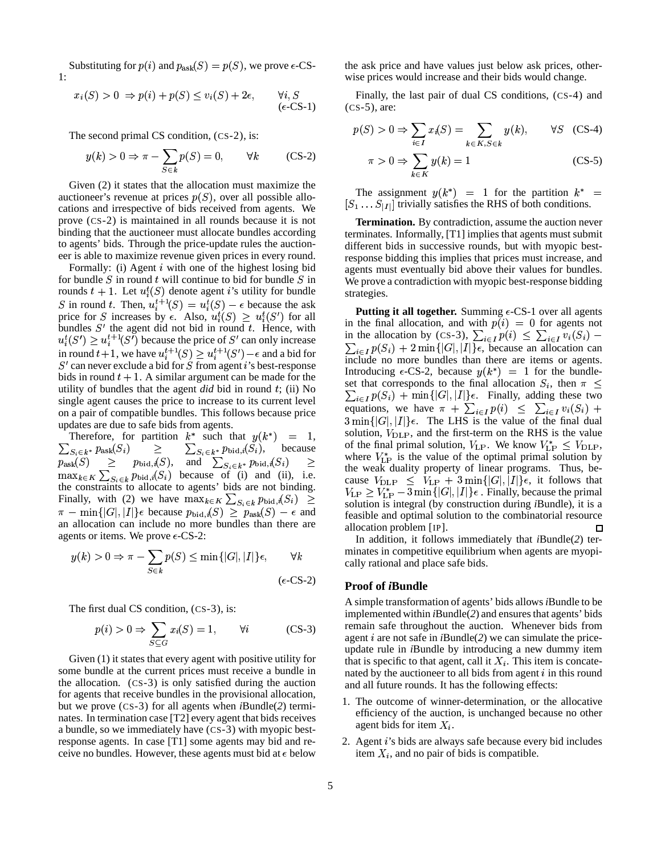Substituting for  $p(i)$  and  $p_{ask}(S) = p(S)$ , we prove  $\epsilon$ -CS- $1:$ 

$$
x_i(S) > 0 \Rightarrow p(i) + p(S) \le v_i(S) + 2\epsilon, \qquad \forall i, S \qquad \text{or} \qquad \text{or} \qquad \text{or} \qquad \text{or} \qquad \text{or} \qquad \text{or} \qquad \text{or} \qquad \text{or} \qquad \text{or} \qquad \text{or} \qquad \text{or} \qquad \text{or} \qquad \text{or} \qquad \text{or} \qquad \text{or} \qquad \text{or} \qquad \text{or} \qquad \text{or} \qquad \text{or} \qquad \text{or} \qquad \text{or} \qquad \text{or} \qquad \text{or} \qquad \text{or} \qquad \text{or} \qquad \text{or} \qquad \text{or} \qquad \text{or} \qquad \text{or} \qquad \text{or} \qquad \text{or} \qquad \text{or} \qquad \text{or} \qquad \text{or} \qquad \text{or} \qquad \text{or} \qquad \text{or} \qquad \text{or} \qquad \text{or} \qquad \text{or} \qquad \text{or} \qquad \text{or} \qquad \text{or} \qquad \text{or} \qquad \text{or} \qquad \text{or} \qquad \text{or} \qquad \text{or} \qquad \text{or} \qquad \text{or} \qquad \text{or} \qquad \text{or} \qquad \text{or} \qquad \text{or} \qquad \text{or} \qquad \text{or} \qquad \text{or} \qquad \text{or} \qquad \text{or} \qquad \text{or} \qquad \text{or} \qquad \text{or} \qquad \text{or} \qquad \text{or} \qquad \text{or} \qquad \text{or} \qquad \text{or} \qquad \text{or} \qquad \text{or} \qquad \text{or} \qquad \text{or} \qquad \text{or} \qquad \text{or} \qquad \text{or} \qquad \text{or} \qquad \text{or} \qquad \text{or} \qquad \text{or} \qquad \text{or} \qquad \text{or} \qquad \text{or} \qquad \text{or} \qquad \text{or} \qquad \text{or} \qquad \text{or} \qquad \text{or} \qquad \text{or} \qquad \text{or} \qquad \text{or} \qquad \text{or} \
$$

The second primal CS condition, (CS-2), is:

$$
y(k) > 0 \Rightarrow \pi - \sum_{S \in k} p(S) = 0, \qquad \forall k \qquad \text{(CS-2)}
$$

Given (2) it states that the allocation must maximize the auctioneer's revenue at prices  $p(S)$ , over all possible allocations and irrespective of bids received from agents. We prove (CS-2) is maintained in all rounds because it is not binding that the auctioneer must allocate bundles according to agents' bids. Through the price-update rules the auctioneer is able to maximize revenue given prices in every round.

Formally: (i) Agent  $i$  with one of the highest losing bid for bundle  $S$  in round  $t$  will continue to bid for bundle  $S$  in for bundle S in round t will continue to bid for bundle S in<br>rounds  $t + 1$ . Let  $u_i^t(S)$  denote agent i's utility for bundle France is the interest of the independent  $S$  in round t. Then,  $u_i^{t+1}(S) = u_i^t(S) - \epsilon$  because the ask S in round t. Then,  $u_i^{\tau+}(S) = u_i^{\tau}(S) - \epsilon$  because the ask<br>price for S increases by  $\epsilon$ . Also,  $u_i^{\tau}(S) \ge u_i^{\tau}(S')$  for all bundles  $S'$  the agent did not bid in round  $t$ . Hence, with bundles  $S^+$  the agent did not bid in round t. Hence, with  $u_i^t(S') \ge u_i^{t+1}(S')$  because the price of  $S'$  can only increase  $u_i(\Theta) \ge u_i$  ( $\Theta$ ) because the price of  $\Theta$  can only increase<br>in round  $t+1$ , we have  $u_i^{t+1}(S) \ge u_i^{t+1}(S') - \epsilon$  and a bid for  $S'$  can never exclude a bid for  $S$  from agent i's best-response bids in round  $t + 1$ . A similar argument can be made for the utility of bundles that the agent *did* bid in round ; (ii) No single agent causes the price to increase to its current level on a pair of compatible bundles. This follows because price updates are due to safe bids from agents.

Therefore, for partition  $k^*$  such that  $y(k^*) = 1$ , soll Therefore, for partition  $k^*$  such that  $y(k^*)$ <br> $s_{i \in k^*} p_{\text{ask}}(S_i) \geq \sum_{S_{i \in k^*}} p_{\text{bid},i}(S_i)$ , b because  $\sum_{S_i \in k^*} p_{\text{ask}}(S_i) \geq p_{\text{bid},i}(S), \text{ and } \sum_{S_i \in k^*} p_{\text{bid},i}(S_i) \geq p_{\text{bid},i}(S)$  $\max_{k \in K} \sum_{S_i \subset k} p_{\text{bid},i}(S_i)$  because of (i) and (ii), i.e.  $\frac{p_{\text{bid},i}(S)}{p_{\text{bid},i}(S_i)}$  be the constraints to allocate to agents' bids are not binding. the constraints to allocate to agents' bids are not binding.<br>Finally, with (2) we have  $\max_{k \in K} \sum_{S_i \in k} p_{bid,i}(S_i) \geq \min_{\text{solution}}$ Finally, with (2) we have  $\max_{k \in K} \sum_{S_i \in k} p_{\text{bid},i}(S) \geq$ <br> $\pi - \min\{|G|, |I|\}\epsilon$  because  $p_{\text{bid},i}(S) \geq p_{\text{ask}}(S) - \epsilon$  and an allocation can include no more bundles than there are agents or items. We prove  $\epsilon$ -CS-2:

$$
y(k) > 0 \Rightarrow \pi - \sum_{S \in k} p(S) \le \min\{|G|, |I|\} \epsilon, \qquad \forall k \qquad \qquad \frac{1}{\epsilon}
$$
\n(\epsilon-CS-2)

The first dual CS condition, (CS-3), is:

$$
p(i) > 0 \Rightarrow \sum_{S \subseteq G} x_i(S) = 1, \qquad \forall i \tag{CS-3}
$$

Given (1) it states that every agent with positive utility for some bundle at the current prices must receive a bundle in the allocation. (CS-3) is only satisfied during the auction for agents that receive bundles in the provisional allocation, but we prove (CS-3) for all agents when *i*Bundle(*2*) terminates. In termination case [T2] every agent that bids receives a bundle, so we immediately have (CS-3) with myopic bestresponse agents. In case [T1] some agents may bid and receive no bundles. However, these agents must bid at  $\epsilon$  below

the ask price and have values just below ask prices, otherwise prices would increase and their bids would change.

Finally, the last pair of dual CS conditions, (CS-4) and (CS-5), are:

$$
p(S) > 0 \Rightarrow \sum_{i \in I} x_i(S) = \sum_{k \in K, S \in k} y(k), \qquad \forall S \quad (CS-4)
$$

$$
\pi > 0 \Rightarrow \sum_{k \in K} y(k) = 1 \tag{CS-5}
$$

The assignment  $y(k^*)$  = 1 for the partition  $k^*$  =  $[S_1 \dots S_{|I|}]$  trivially satisfies the RHS of both conditions.

**Termination.** By contradiction, assume the auction never terminates. Informally, [T1] implies that agents must submit different bids in successive rounds, but with myopic bestresponse bidding this implies that prices must increase, and agents must eventually bid above their values for bundles. We prove a contradiction with myopic best-response bidding strategies.

**Putting it all together.** Summing  $\epsilon$ -CS-1 over all agents in the final allocation, and with  $p(i) = 0$  for agents not<br>in the allocation by (CS-3),  $\sum_{i \in I} p(i) \leq \sum_{i \in I} v_i(S_i)$ in the allocation by (CS-3),  $\sum_{i \in I} p(i) \leq \sum_{i \in I} v_i(S_i)$  – In the allocation by (CS-3),  $\sum_{i \in I} p(i) \leq \sum_{i \in I} v_i(\delta_i) - \sum_{i \in I} p(S_i) + 2 \min\{|G|, |I|\} \epsilon$ , because an allocation can include no more bundles than there are items or agents. Introducing  $\epsilon$ -CS-2, because  $y(k^*) = 1$  for the bundleset that corresponds to the final allocation  $S_i$ , then  $\pi \leq$ that corresponds to the final allocation  $S_i$ , then  $\pi \leq \epsilon_I p(S_i) + \min\{|G|, |I|\}\epsilon$ . Finally, adding these two ese two<br>  $i(S_i)$  +  $\sum_{i \in I} p(\vartheta_i) + \min\{|\vartheta_i|, |I|\}\epsilon$ . Finally, adding the equations, we have  $\pi + \sum_{i \in I} p(i) \leq \sum_{i \in I} i$ Finany, adding these two<br> $\sum_{i \in I} v_i(S_i)$  +  $\epsilon$   $\sigma$   $\iota$   $\iota$   $\iota$   $\iota$   $\iota$   $\tau$  $3 \min\{|G|, |I|\}\epsilon$ . The LHS is the value of the final dual solution,  $V_{\text{DLP}}$ , and the first-term on the RHS is the value of the final primal solution,  $V_{\text{LP}}$ . We know  $V_{\text{LP}}^* \leq V_{\text{DLP}}$ , where  $V_{\text{LP}}^*$  is the value of the optimal primal solution by the weak duality property of linear programs. Thus, because  $V_{\text{DLP}} \leq V_{\text{LP}} + 3 \min\{|G|, |I|\} \epsilon$ , it follows that  $V_{\text{LP}} \geq V_{\text{LP}}^* - 3 \min\{|G|, |I|\} \epsilon$ . Finally, because the primal solution is integral (by construction during *i*Bundle), it is a feasible and optimal solution to the combinatorial resource allocation problem [IP]. П

> In addition, it follows immediately that *i*Bundle(*2*) terminates in competitive equilibrium when agents are myopically rational and place safe bids.

### **Proof of** *i***Bundle**

A simple transformation of agents' bids allows*i*Bundle to be implemented within *i*Bundle(2) and ensures that agents' bids remain safe throughout the auction. Whenever bids from agent  $i$  are not safe in  $i$ Bundle(2) we can simulate the priceupdate rule in *i*Bundle by introducing a new dummy item that is specific to that agent, call it  $X_i$ . This item is concatenated by the auctioneer to all bids from agent  $i$  in this round and all future rounds. It has the following effects:

- 1. The outcome of winner-determination, or the allocative efficiency of the auction, is unchanged because no other agent bids for item  $X_i$ .
- 2. Agent i's bids are always safe because every bid includes item  $X_i$ , and no pair of bids is compatible.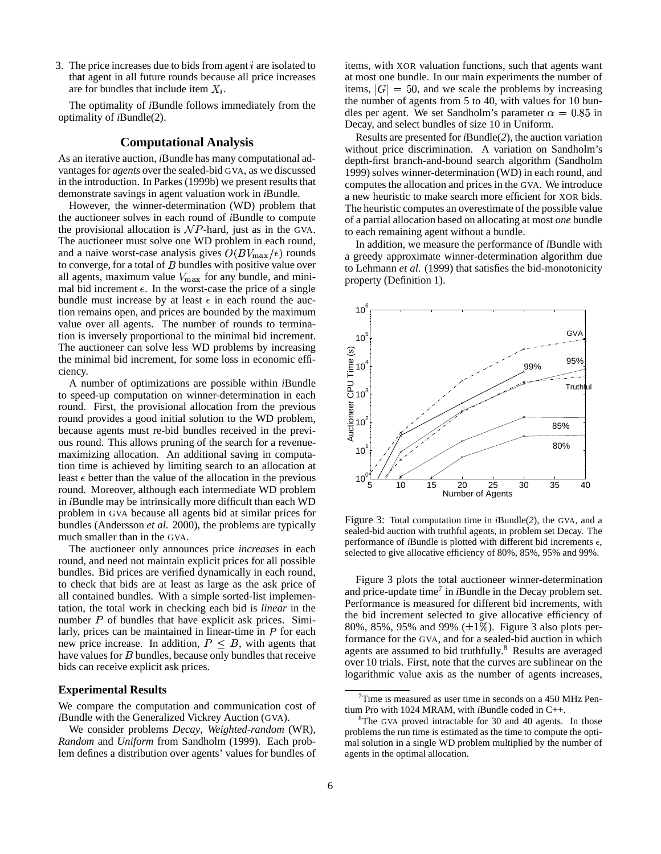3. The price increases due to bids from agent  $i$  are isolated to that agent in all future rounds because all price increases are for bundles that include item  $X_i$ .

The optimality of *i*Bundle follows immediately from the optimality of *i*Bundle(2).

### **Computational Analysis**

As an iterative auction,*i*Bundle has many computational advantagesfor *agents* over the sealed-bid GVA, as we discussed in the introduction. InParkes (1999b) we present results that demonstrate savings in agent valuation work in *i*Bundle.

However, the winner-determination (WD) problem that the auctioneer solves in each round of *i*Bundle to compute the provisional allocation is  $\mathcal{N}P$ -hard, just as in the GVA. The auctioneer must solve one WD problem in each round, and a naive worst-case analysis gives  $O(BV_{\text{max}}/\epsilon)$  rounds to converge, for a total of  $B$  bundles with positive value over all agents, maximum value  $V_{\text{max}}$  for any bundle, and minimal bid increment  $\epsilon$ . In the worst-case the price of a single bundle must increase by at least  $\epsilon$  in each round the auction remains open, and prices are bounded by the maximum value over all agents. The number of rounds to termination is inversely proportional to the minimal bid increment. The auctioneer can solve less WD problems by increasing the minimal bid increment, for some loss in economic efficiency.

A number of optimizations are possible within *i*Bundle to speed-up computation on winner-determination in each round. First, the provisional allocation from the previous round provides a good initial solution to the WD problem, because agents must re-bid bundles received in the previous round. This allows pruning of the search for a revenuemaximizing allocation. An additional saving in computation time is achieved by limiting search to an allocation at least  $\epsilon$  better than the value of the allocation in the previous round. Moreover, although each intermediate WD problem in *i*Bundle may be intrinsically more difficult than each WD problem in GVA because all agents bid at similar prices for bundles (Andersson *et al.* 2000), the problems are typically much smaller than in the GVA.

The auctioneer only announces price *increases* in each round, and need not maintain explicit prices for all possible bundles. Bid prices are verified dynamically in each round, to check that bids are at least as large as the ask price of all contained bundles. With a simple sorted-list implementation, the total work in checking each bid is *linear* in the number  $P$  of bundles that have explicit ask prices. Similarly, prices can be maintained in linear-time in  *for each* new price increase. In addition,  $P \leq B$ , with agents that have values for  $B$  bundles, because only bundles that receive bids can receive explicit ask prices.

# **Experimental Results**

We compare the computation and communication cost of *i*Bundle with the Generalized Vickrey Auction (GVA).

We consider problems *Decay*, *Weighted-random* (WR), *Random* and *Uniform* from Sandholm (1999). Each problem defines a distribution over agents' values for bundles of items, with XOR valuation functions, such that agents want at most one bundle. In our main experiments the number of items,  $|G| = 50$ , and we scale the problems by increasing the number of agents from 5 to 40, with values for 10 bundles per agent. We set Sandholm's parameter  $\alpha = 0.85$  in Decay, and select bundles of size 10 in Uniform.

Results are presented for *i*Bundle(2), the auction variation without price discrimination. A variation on Sandholm's depth-first branch-and-bound search algorithm (Sandholm 1999) solves winner-determination (WD) in each round, and computes the allocation and prices in the GVA. We introduce a new heuristic to make search more efficient for XOR bids. The heuristic computes an overestimate of the possible value of a partial allocation based on allocating at most *one* bundle to each remaining agent without a bundle.

In addition, we measure the performance of *i*Bundle with a greedy approximate winner-determination algorithm due to Lehmann *et al.* (1999) that satisfies the bid-monotonicity property (Definition 1).



Figure 3: Total computation time in *i*Bundle(*2*), the GVA, and a sealed-bid auction with truthful agents, in problem set Decay. The performance of *i*Bundle is plotted with different bid increments  $\epsilon$ , selected to give allocative efficiency of 80%, 85%, 95% and 99%.

Figure 3 plots the total auctioneer winner-determination and price-update time<sup>7</sup> in *i*Bundle in the Decay problem set. Performance is measured for different bid increments, with the bid increment selected to give allocative efficiency of 80%, 85%, 95% and 99%  $(\pm 1\%)$ . Figure 3 also plots performance for the GVA, and for a sealed-bid auction in which agents are assumed to bid truthfully.<sup>8</sup> Results are averaged over 10 trials. First, note that the curves are sublinear on the logarithmic value axis as the number of agents increases,

 $7$ Time is measured as user time in seconds on a 450 MHz Pentium Pro with 1024 MRAM, with *i*Bundle coded in C++.

 $8$ The GVA proved intractable for 30 and 40 agents. In those problems the run time is estimated as the time to compute the optimal solution in a single WD problem multiplied by the number of agents in the optimal allocation.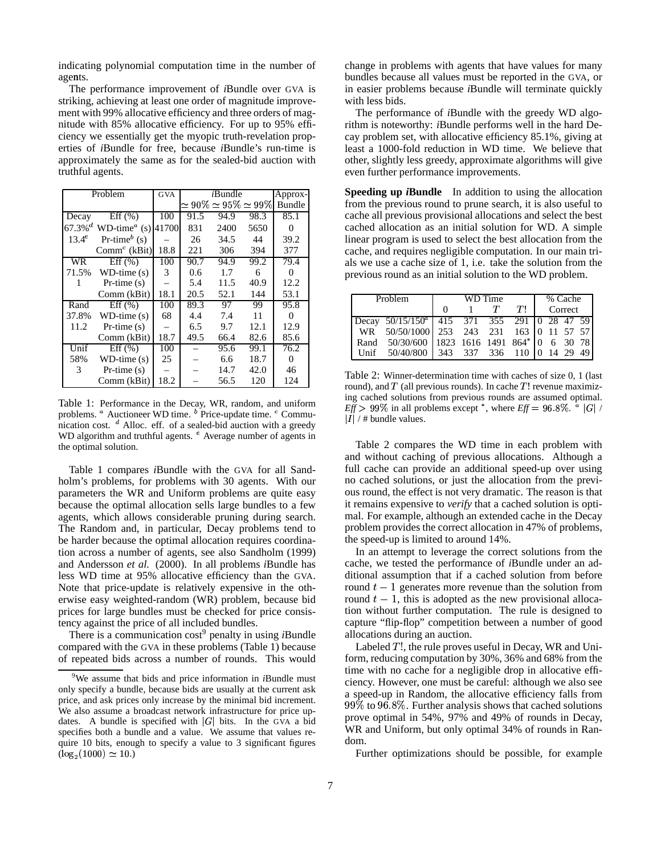indicating polynomial computation time in the number of agents.

The performance improvement of *i*Bundle over GVA is striking, achieving at least one order of magnitude improvement with 99% allocative efficiency and three orders of magnitude with 85% allocative efficiency. For up to 95% efficiency we essentially get the myopic truth-revelation properties of *i*Bundle for free, because *i*Bundle's run-time is approximately the same as for the sealed-bid auction with truthful agents.

| Problem   |                                                   | <b>GVA</b> |      | Approx- |                                  |               |
|-----------|---------------------------------------------------|------------|------|---------|----------------------------------|---------------|
|           |                                                   |            |      |         | $\simeq90\%\simeq95\%\simeq99\%$ | <b>Bundle</b> |
| Decay     | Eff (%)                                           | 100        | 91.5 | 94.9    | 98.3                             | 85.1          |
|           | 67.3% <sup>d</sup> WD-time <sup>a</sup> (s) 41700 |            | 831  | 2400    | 5650                             | 0             |
| $13.4^e$  | Pr-time $^b$ (s)                                  |            | 26   | 34.5    | 44                               | 39.2          |
|           | $Commc$ (kBit)                                    | 18.8       | 221  | 306     | 394                              | 377           |
| <b>WR</b> | Eff (%)                                           | 100        | 90.7 | 94.9    | 99.2                             | 79.4          |
| 71.5%     | $WD-time(s)$                                      | 3          | 0.6  | 1.7     | 6                                | $\Omega$      |
| 1         | $Pr-time(s)$                                      |            | 5.4  | 11.5    | 40.9                             | 12.2          |
|           | Comm (kBit)                                       | 18.1       | 20.5 | 52.1    | 144                              | 53.1          |
| Rand      | Eff (%)                                           | 100        | 89.3 | 97      | 99                               | 95.8          |
| 37.8%     | $WD$ -time $(s)$                                  | 68         | 4.4  | 7.4     | 11                               | $\Omega$      |
| 11.2      | $Pr-time(s)$                                      |            | 6.5  | 9.7     | 12.1                             | 12.9          |
|           | Comm (kBit)                                       | 18.7       | 49.5 | 66.4    | 82.6                             | 85.6          |
| Unif      | Eff (%)                                           | 100        |      | 95.6    | 99.1                             | 76.2          |
| 58%       | $WD$ -time $(s)$                                  | 25         |      | 6.6     | 18.7                             | 0             |
| 3         | $Pr-time(s)$                                      |            |      | 14.7    | 42.0                             | 46            |
|           | Comm (kBit)                                       | 18.2       |      | 56.5    | 120                              | 124           |

Table 1: Performance in the Decay, WR, random, and uniform problems. <sup>*a*</sup> Auctioneer WD time. <sup>*b*</sup> Price-update time. <sup>*c*</sup> Communication cost.  $d$  Alloc. eff. of a sealed-bid auction with a greedy WD algorithm and truthful agents. <sup>e</sup> Average number of agents in the optimal solution.

Table 1 compares *i*Bundle with the GVA for all Sandholm's problems, for problems with 30 agents. With our parameters the WR and Uniform problems are quite easy because the optimal allocation sells large bundles to a few agents, which allows considerable pruning during search. The Random and, in particular, Decay problems tend to be harder because the optimal allocation requires coordination across a number of agents, see also Sandholm (1999) and Andersson *et al.* (2000). In all problems *i*Bundle has less WD time at 95% allocative efficiency than the GVA. Note that price-update is relatively expensive in the otherwise easy weighted-random (WR) problem, because bid prices for large bundles must be checked for price consistency against the price of all included bundles.

There is a communication cost<sup>9</sup> penalty in using *i*Bundle compared with the GVA in these problems (Table 1) because of repeated bids across a number of rounds. This would change in problems with agents that have values for many bundles because all values must be reported in the GVA, or in easier problems because *i*Bundle will terminate quickly with less bids.

The performance of *i*Bundle with the greedy WD algorithm is noteworthy: *i*Bundle performs well in the hard Decay problem set, with allocative efficiency 85.1%, giving at least a 1000-fold reduction in WD time. We believe that other, slightly less greedy, approximate algorithms will give even further performance improvements.

**Speeding up** *i***Bundle** In addition to using the allocation from the previous round to prune search, it is also useful to cache all previous provisional allocations and select the best cached allocation as an initial solution for WD. A simple linear program is used to select the best allocation from the cache, and requires negligible computation. In our main trials we use a cache size of 1, i.e. take the solution from the previous round as an initial solution to the WD problem.

| Problem |                                                      | WD Time |  |  |       | % Cache |  |  |  |
|---------|------------------------------------------------------|---------|--|--|-------|---------|--|--|--|
|         |                                                      | ∩       |  |  | $T^+$ | Correct |  |  |  |
|         | Decay $50/15/150^{\circ}$ 415 371 355 291 0 28 47 59 |         |  |  |       |         |  |  |  |
|         | WR 50/50/1000 253 243 231 163 0 11 57 57             |         |  |  |       |         |  |  |  |
|         | Rand 50/30/600 1823 1616 1491 864* 0 6 30 78         |         |  |  |       |         |  |  |  |
|         | Unif 50/40/800 343 337 336 110 0 14 29 49            |         |  |  |       |         |  |  |  |

Table 2: Winner-determination time with caches of size 0, 1 (last round), and  $T$  (all previous rounds). In cache  $T!$  revenue maximizing cached solutions from previous rounds are assumed optimal.  $Eff > 99\%$  in all problems except \*, where  $Eff = 96.8\%$ .  $\frac{1}{4}$  |G| /  $|I|$  / # bundle values.

Table 2 compares the WD time in each problem with and without caching of previous allocations. Although a full cache can provide an additional speed-up over using no cached solutions, or just the allocation from the previous round, the effect is not very dramatic. The reason is that it remains expensive to *verify* that a cached solution is optimal. For example, although an extended cache in the Decay problem provides the correct allocation in 47% of problems, the speed-up is limited to around 14%.

In an attempt to leverage the correct solutions from the cache, we tested the performance of *i*Bundle under an additional assumption that if a cached solution from before round  $t-1$  generates more revenue than the solution from round  $t-1$ , this is adopted as the new provisional allocation without further computation. The rule is designed to capture "flip-flop" competition between a number of good allocations during an auction.

Labeled  $T!$ , the rule proves useful in Decay, WR and Uniform, reducing computation by 30%, 36% and 68% from the time with no cache for a negligible drop in allocative efficiency. However, one must be careful: although we also see a speed-up in Random, the allocative efficiency falls from  $99\%$  to  $96.8\%$ . Further analysis shows that cached solutions prove optimal in 54%, 97% and 49% of rounds in Decay, WR and Uniform, but only optimal 34% of rounds in Random.

Further optimizations should be possible, for example

<sup>9</sup>We assume that bids and price information in *i*Bundle must only specify a bundle, because bids are usually at the current ask price, and ask prices only increase by the minimal bid increment. We also assume a broadcast network infrastructure for price updates. A bundle is specified with  $|G|$  bits. In the GVA a bid specifies both a bundle and a value. We assume that values require 10 bits, enough to specify a value to 3 significant figures  $(\log_2(1000) \simeq 10.)$